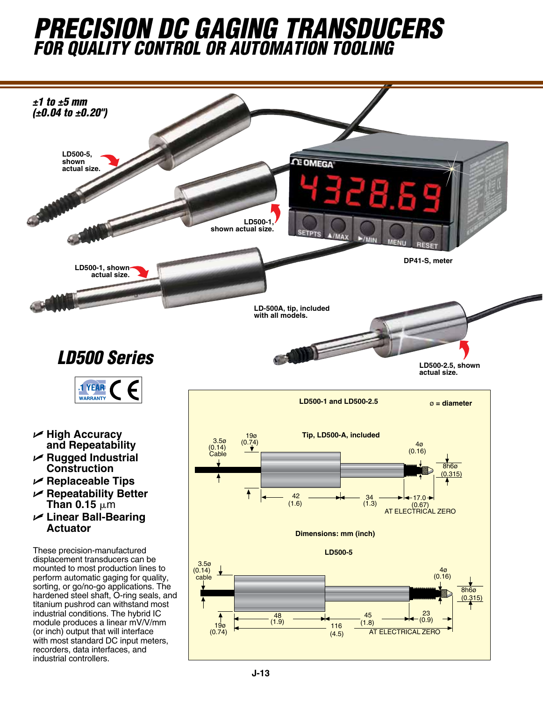## *precision dc gaging transducers for quality contRol or automation tooling*



**actual size.**



U **High Accuracy and Repeatability** 

1 YEAR **WARRANTY** 

- U **Rugged Industrial Construction**
- U **Replaceable Tips**
- U **Repeatability Better Than 0.15**  $\mu$ m
- U **Linear Ball-Bearing Actuator**

These precision-manufactured displacement transducers can be mounted to most production lines to perform automatic gaging for quality, sorting, or go/no-go applications. The hardened steel shaft, O-ring seals, and titanium pushrod can withstand most industrial conditions. The hybrid IC module produces a linear mV/V/mm (or inch) output that will interface with most standard DC input meters, recorders, data interfaces, and industrial controllers.